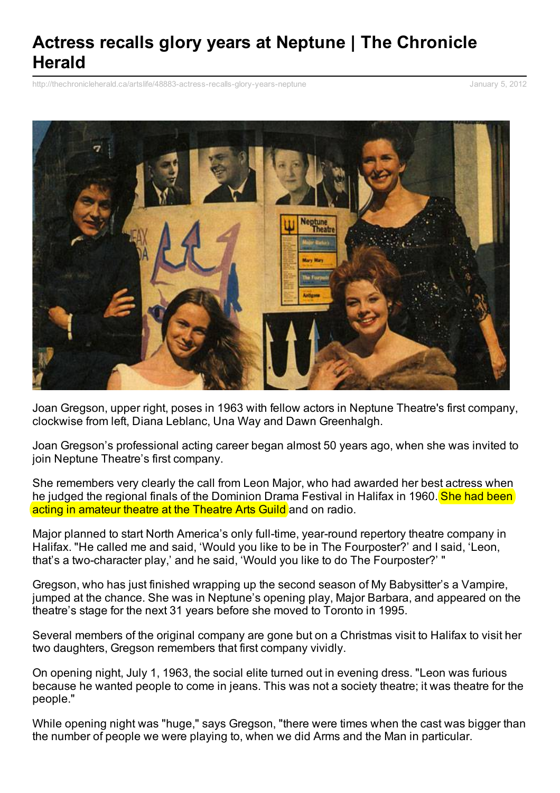## **Actress recalls glory years at Neptune | The Chronicle Herald**

[http://thechronicleherald.ca/artslife/48883-actress-recalls-glory-years-neptune](http://www.printfriendly.com/print/v2?url=http%3A%2F%2Fthechronicleherald.ca%2Fartslife%2F48883-actress-recalls-glory-years-neptune%2523.TwWZZD-wTao.printfriendly) January 5, 2012



Joan Gregson, upper right, poses in 1963 with fellow actors in Neptune Theatre's first company, clockwise from left, Diana Leblanc, Una Way and Dawn Greenhalgh.

Joan Gregson's professional acting career began almost 50 years ago, when she was invited to join Neptune Theatre's first company.

She remembers very clearly the call from Leon Major, who had awarded her best actress when he judged the regional finals of the Dominion Drama Festival in Halifax in 1960. **She had been** acting in amateur theatre at the Theatre Arts Guild and on radio.

Major planned to start North America's only full-time, year-round repertory theatre company in Halifax. "He called me and said, 'Would you like to be in The Fourposter?' and I said, 'Leon, that's a two-character play,' and he said, 'Would you like to do The Fourposter?' "

Gregson, who has just finished wrapping up the second season of My Babysitter's a Vampire, jumped at the chance. She was in Neptune's opening play, Major Barbara, and appeared on the theatre's stage for the next 31 years before she moved to Toronto in 1995.

Several members of the original company are gone but on a Christmas visit to Halifax to visit her two daughters, Gregson remembers that first company vividly.

On opening night, July 1, 1963, the social elite turned out in evening dress. "Leon was furious because he wanted people to come in jeans. This was not a society theatre; it was theatre for the people."

While opening night was "huge," says Gregson, "there were times when the cast was bigger than the number of people we were playing to, when we did Arms and the Man in particular.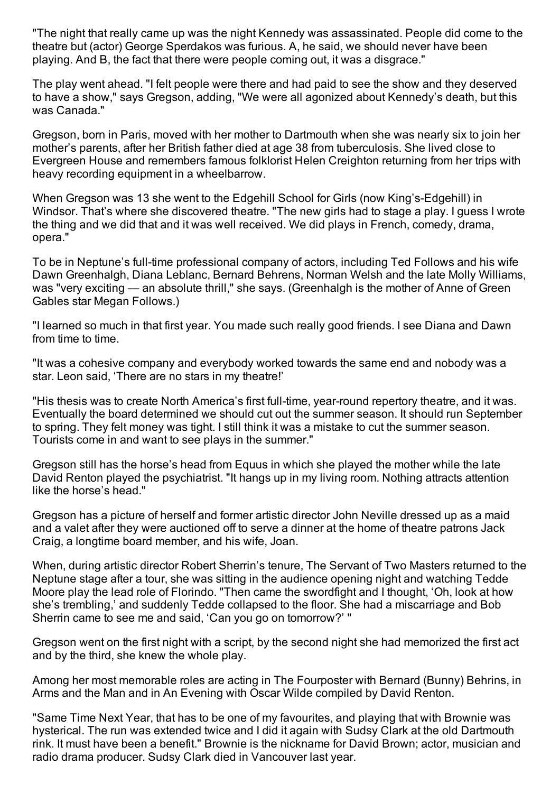"The night that really came up was the night Kennedy was assassinated. People did come to the theatre but (actor) George Sperdakos was furious. A, he said, we should never have been playing. And B, the fact that there were people coming out, it was a disgrace."

The play went ahead. "I felt people were there and had paid to see the show and they deserved to have a show," says Gregson, adding, "We were all agonized about Kennedy's death, but this was Canada."

Gregson, born in Paris, moved with her mother to Dartmouth when she was nearly six to join her mother's parents, after her British father died at age 38 from tuberculosis. She lived close to Evergreen House and remembers famous folklorist Helen Creighton returning from her trips with heavy recording equipment in a wheelbarrow.

When Gregson was 13 she went to the Edgehill School for Girls (now King's-Edgehill) in Windsor. That's where she discovered theatre. "The new girls had to stage a play. I guess I wrote the thing and we did that and it was well received. We did plays in French, comedy, drama, opera."

To be in Neptune's full-time professional company of actors, including Ted Follows and his wife Dawn Greenhalgh, Diana Leblanc, Bernard Behrens, Norman Welsh and the late Molly Williams, was "very exciting — an absolute thrill," she says. (Greenhalgh is the mother of Anne of Green Gables star Megan Follows.)

"I learned so much in that first year. You made such really good friends. I see Diana and Dawn from time to time.

"It was a cohesive company and everybody worked towards the same end and nobody was a star. Leon said, 'There are no stars in my theatre!'

"His thesis was to create North America's first full-time, year-round repertory theatre, and it was. Eventually the board determined we should cut out the summer season. It should run September to spring. They felt money was tight. I still think it was a mistake to cut the summer season. Tourists come in and want to see plays in the summer."

Gregson still has the horse's head from Equus in which she played the mother while the late David Renton played the psychiatrist. "It hangs up in my living room. Nothing attracts attention like the horse's head."

Gregson has a picture of herself and former artistic director John Neville dressed up as a maid and a valet after they were auctioned off to serve a dinner at the home of theatre patrons Jack Craig, a longtime board member, and his wife, Joan.

When, during artistic director Robert Sherrin's tenure, The Servant of Two Masters returned to the Neptune stage after a tour, she was sitting in the audience opening night and watching Tedde Moore play the lead role of Florindo. "Then came the swordfight and I thought, 'Oh, look at how she's trembling,' and suddenly Tedde collapsed to the floor. She had a miscarriage and Bob Sherrin came to see me and said, 'Can you go on tomorrow?' "

Gregson went on the first night with a script, by the second night she had memorized the first act and by the third, she knew the whole play.

Among her most memorable roles are acting in The Fourposter with Bernard (Bunny) Behrins, in Arms and the Man and in An Evening with Oscar Wilde compiled by David Renton.

"Same Time Next Year, that has to be one of my favourites, and playing that with Brownie was hysterical. The run was extended twice and I did it again with Sudsy Clark at the old Dartmouth rink. It must have been a benefit." Brownie is the nickname for David Brown; actor, musician and radio drama producer. Sudsy Clark died in Vancouver last year.